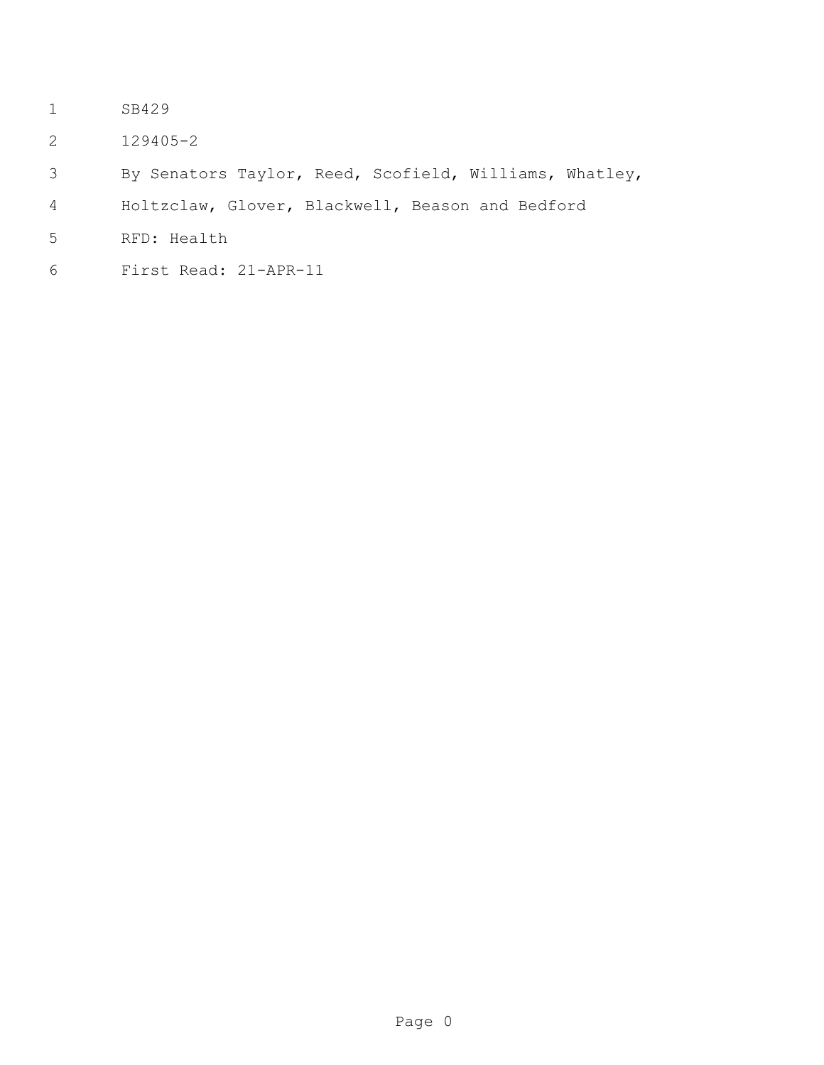- 1 SB429
- 2 129405-2
- 3 By Senators Taylor, Reed, Scofield, Williams, Whatley,
- 4 Holtzclaw, Glover, Blackwell, Beason and Bedford
- 5 RFD: Health
- 6 First Read: 21-APR-11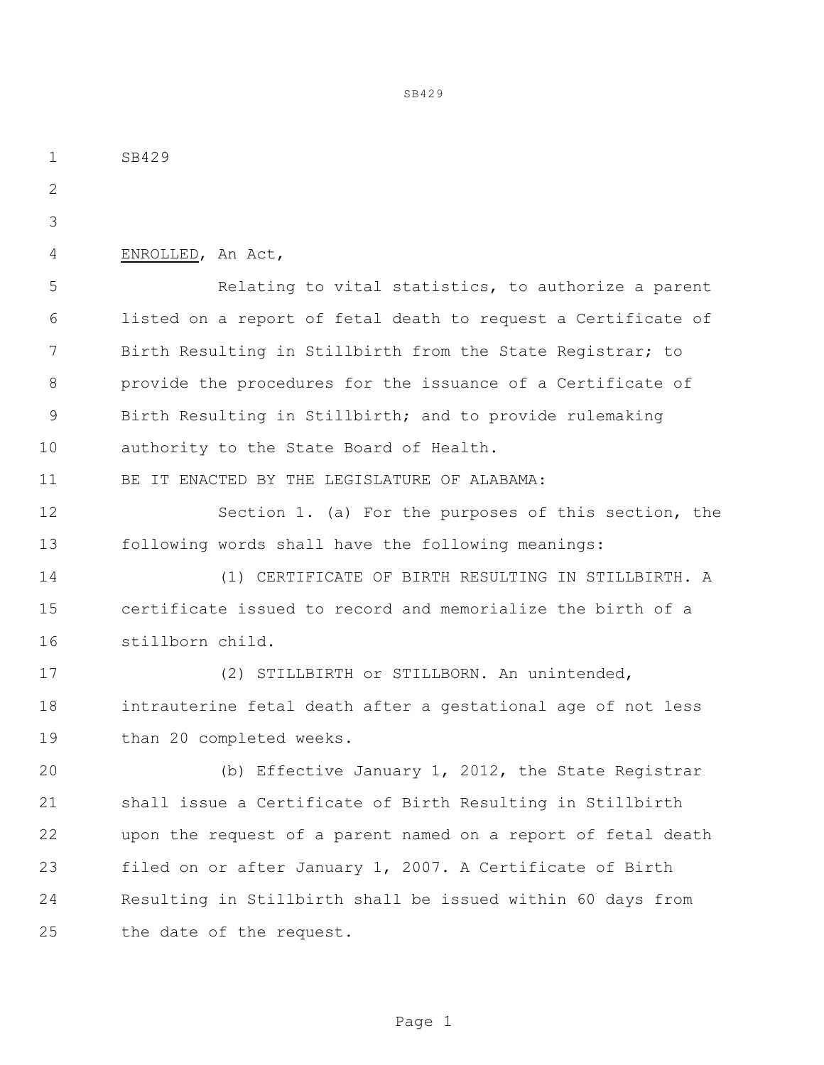1 SB429 2 3 4 ENROLLED, An Act, 5 Relating to vital statistics, to authorize a parent 6 listed on a report of fetal death to request a Certificate of 7 Birth Resulting in Stillbirth from the State Registrar; to 8 provide the procedures for the issuance of a Certificate of 9 Birth Resulting in Stillbirth; and to provide rulemaking 10 authority to the State Board of Health. 11 BE IT ENACTED BY THE LEGISLATURE OF ALABAMA: 12 Section 1. (a) For the purposes of this section, the 13 following words shall have the following meanings: 14 (1) CERTIFICATE OF BIRTH RESULTING IN STILLBIRTH. A 15 certificate issued to record and memorialize the birth of a 16 stillborn child. 17 (2) STILLBIRTH or STILLBORN. An unintended, 18 intrauterine fetal death after a gestational age of not less 19 than 20 completed weeks. 20 (b) Effective January 1, 2012, the State Registrar 21 shall issue a Certificate of Birth Resulting in Stillbirth 22 upon the request of a parent named on a report of fetal death 23 filed on or after January 1, 2007. A Certificate of Birth 24 Resulting in Stillbirth shall be issued within 60 days from 25 the date of the request.

SB429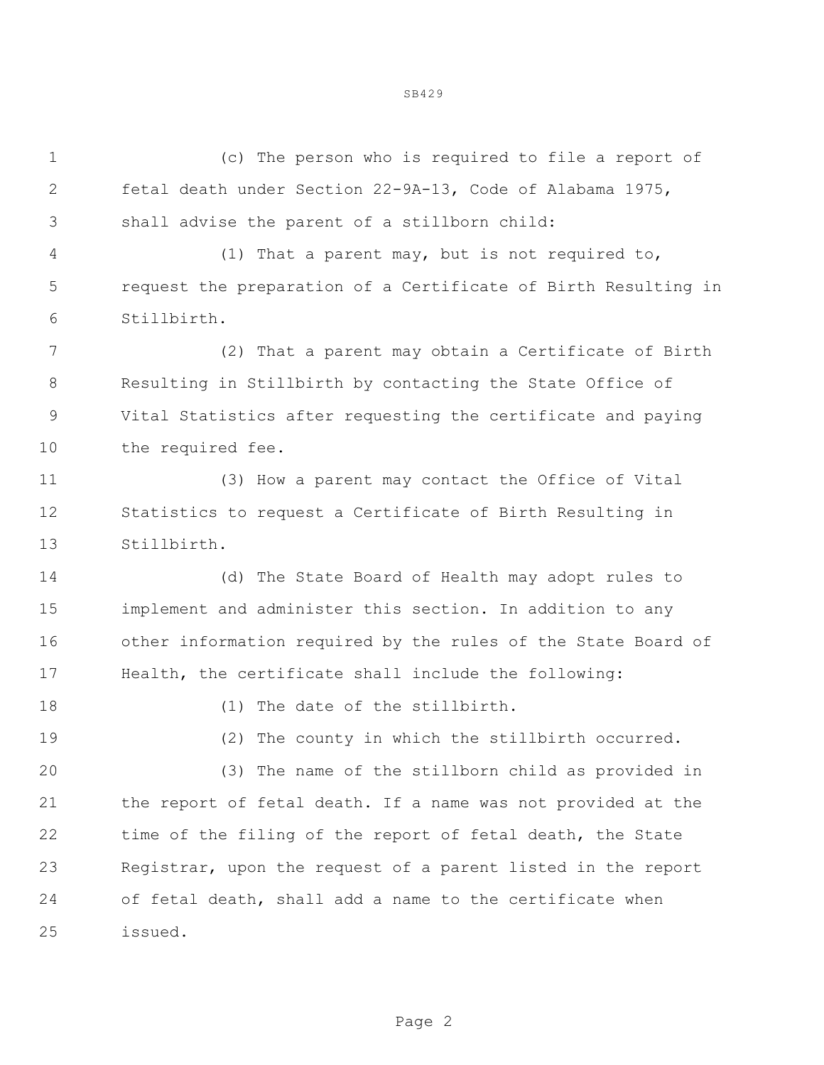1 (c) The person who is required to file a report of 2 fetal death under Section 22-9A-13, Code of Alabama 1975, 3 shall advise the parent of a stillborn child: 4 (1) That a parent may, but is not required to, 5 request the preparation of a Certificate of Birth Resulting in

6 Stillbirth. 7 (2) That a parent may obtain a Certificate of Birth 8 Resulting in Stillbirth by contacting the State Office of 9 Vital Statistics after requesting the certificate and paying 10 the required fee.

11 (3) How a parent may contact the Office of Vital 12 Statistics to request a Certificate of Birth Resulting in 13 Stillbirth.

14 (d) The State Board of Health may adopt rules to 15 implement and administer this section. In addition to any 16 other information required by the rules of the State Board of 17 Health, the certificate shall include the following:

18 (1) The date of the stillbirth.

19 (2) The county in which the stillbirth occurred.

20 (3) The name of the stillborn child as provided in 21 the report of fetal death. If a name was not provided at the 22 time of the filing of the report of fetal death, the State 23 Registrar, upon the request of a parent listed in the report 24 of fetal death, shall add a name to the certificate when 25 issued.

SB429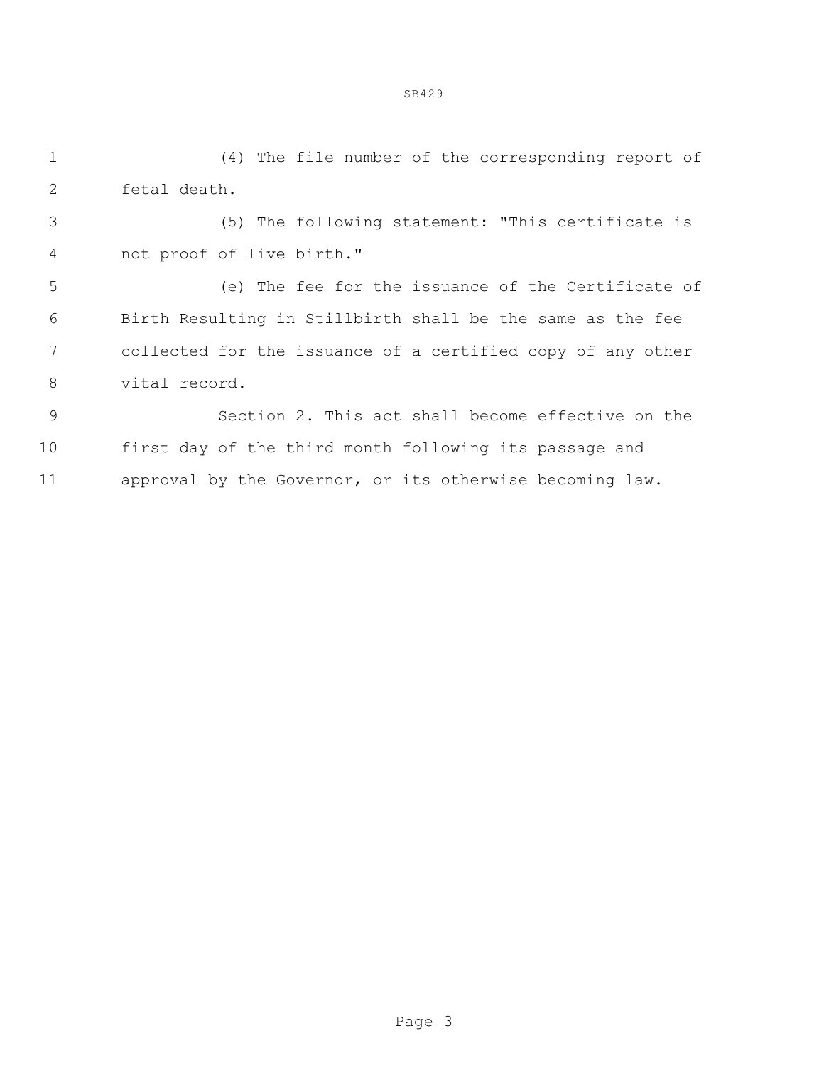1 (4) The file number of the corresponding report of 2 fetal death.

3 (5) The following statement: "This certificate is 4 not proof of live birth."

5 (e) The fee for the issuance of the Certificate of 6 Birth Resulting in Stillbirth shall be the same as the fee 7 collected for the issuance of a certified copy of any other 8 vital record.

9 Section 2. This act shall become effective on the 10 first day of the third month following its passage and 11 approval by the Governor, or its otherwise becoming law.